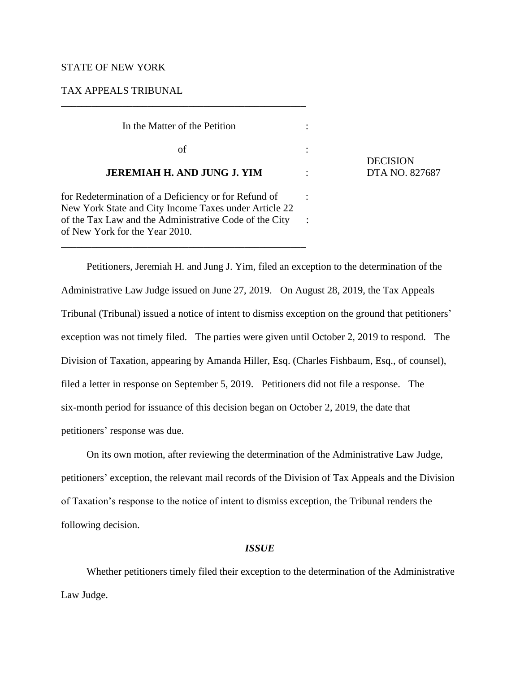## STATE OF NEW YORK

# TAX APPEALS TRIBUNAL

of New York for the Year 2010.

 In the Matter of the Petition :  $\int$  of  $\int$  : **JEREMIAH H. AND JUNG J. YIM** : DTA NO. 827687 for Redetermination of a Deficiency or for Refund of : New York State and City Income Taxes under Article 22 of the Tax Law and the Administrative Code of the City :

\_\_\_\_\_\_\_\_\_\_\_\_\_\_\_\_\_\_\_\_\_\_\_\_\_\_\_\_\_\_\_\_\_\_\_\_\_\_\_\_\_\_\_\_\_\_\_\_

\_\_\_\_\_\_\_\_\_\_\_\_\_\_\_\_\_\_\_\_\_\_\_\_\_\_\_\_\_\_\_\_\_\_\_\_\_\_\_\_\_\_\_\_\_\_\_\_

**DECISION** 

Petitioners, Jeremiah H. and Jung J. Yim, filed an exception to the determination of the Administrative Law Judge issued on June 27, 2019. On August 28, 2019, the Tax Appeals Tribunal (Tribunal) issued a notice of intent to dismiss exception on the ground that petitioners' exception was not timely filed. The parties were given until October 2, 2019 to respond. The Division of Taxation, appearing by Amanda Hiller, Esq. (Charles Fishbaum, Esq., of counsel), filed a letter in response on September 5, 2019. Petitioners did not file a response. The six-month period for issuance of this decision began on October 2, 2019, the date that petitioners' response was due.

On its own motion, after reviewing the determination of the Administrative Law Judge, petitioners' exception, the relevant mail records of the Division of Tax Appeals and the Division of Taxation's response to the notice of intent to dismiss exception, the Tribunal renders the following decision.

### *ISSUE*

Whether petitioners timely filed their exception to the determination of the Administrative Law Judge.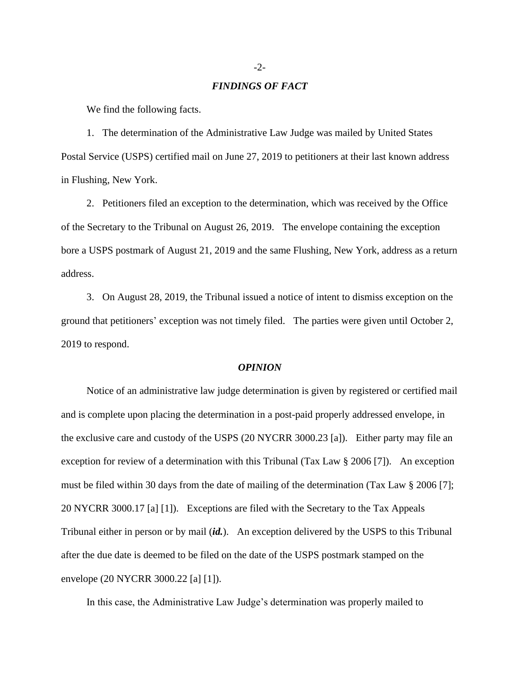#### *FINDINGS OF FACT*

We find the following facts.

1. The determination of the Administrative Law Judge was mailed by United States Postal Service (USPS) certified mail on June 27, 2019 to petitioners at their last known address in Flushing, New York.

2. Petitioners filed an exception to the determination, which was received by the Office of the Secretary to the Tribunal on August 26, 2019. The envelope containing the exception bore a USPS postmark of August 21, 2019 and the same Flushing, New York, address as a return address.

3. On August 28, 2019, the Tribunal issued a notice of intent to dismiss exception on the ground that petitioners' exception was not timely filed. The parties were given until October 2, 2019 to respond.

#### *OPINION*

Notice of an administrative law judge determination is given by registered or certified mail and is complete upon placing the determination in a post-paid properly addressed envelope, in the exclusive care and custody of the USPS (20 NYCRR 3000.23 [a]). Either party may file an exception for review of a determination with this Tribunal (Tax Law § 2006 [7]). An exception must be filed within 30 days from the date of mailing of the determination (Tax Law § 2006 [7]; 20 NYCRR 3000.17 [a] [1]). Exceptions are filed with the Secretary to the Tax Appeals Tribunal either in person or by mail (*id.*). An exception delivered by the USPS to this Tribunal after the due date is deemed to be filed on the date of the USPS postmark stamped on the envelope (20 NYCRR 3000.22 [a] [1]).

In this case, the Administrative Law Judge's determination was properly mailed to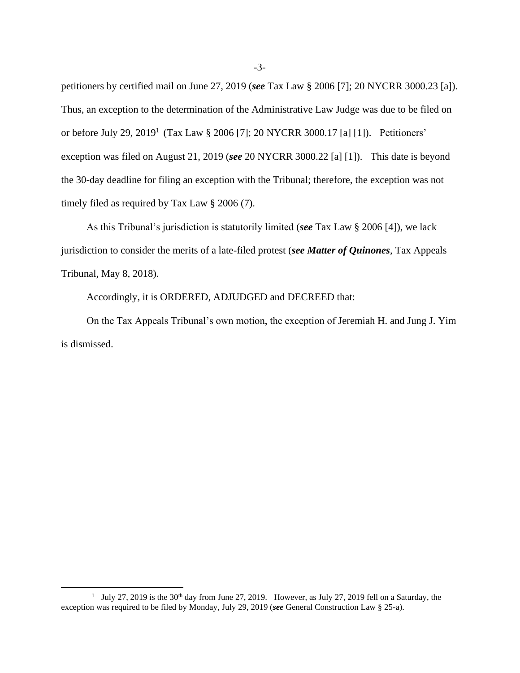petitioners by certified mail on June 27, 2019 (*see* Tax Law § 2006 [7]; 20 NYCRR 3000.23 [a]). Thus, an exception to the determination of the Administrative Law Judge was due to be filed on or before July 29, 2019<sup>1</sup> (Tax Law § 2006 [7]; 20 NYCRR 3000.17 [a] [1]). Petitioners' exception was filed on August 21, 2019 (*see* 20 NYCRR 3000.22 [a] [1]). This date is beyond the 30-day deadline for filing an exception with the Tribunal; therefore, the exception was not timely filed as required by Tax Law § 2006 (7).

As this Tribunal's jurisdiction is statutorily limited (*see* Tax Law § 2006 [4]), we lack jurisdiction to consider the merits of a late-filed protest (*see Matter of Quinones*, Tax Appeals Tribunal, May 8, 2018).

Accordingly, it is ORDERED, ADJUDGED and DECREED that:

On the Tax Appeals Tribunal's own motion, the exception of Jeremiah H. and Jung J. Yim is dismissed.

<sup>&</sup>lt;sup>1</sup> July 27, 2019 is the 30<sup>th</sup> day from June 27, 2019. However, as July 27, 2019 fell on a Saturday, the exception was required to be filed by Monday, July 29, 2019 (*see* General Construction Law § 25-a).